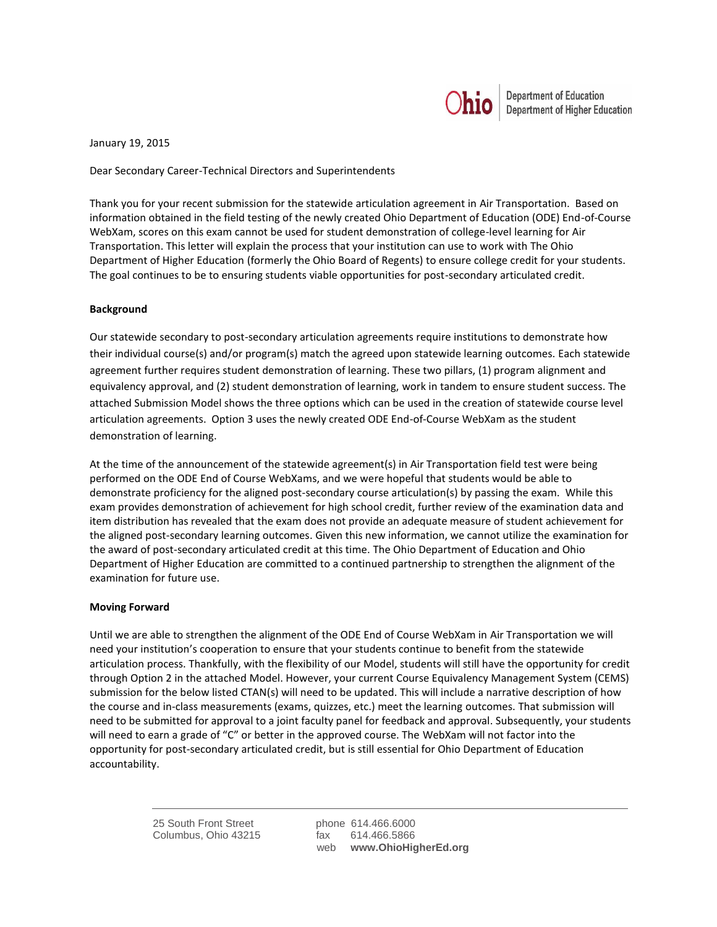

January 19, 2015

Dear Secondary Career-Technical Directors and Superintendents

Thank you for your recent submission for the statewide articulation agreement in Air Transportation. Based on information obtained in the field testing of the newly created Ohio Department of Education (ODE) End-of-Course WebXam, scores on this exam cannot be used for student demonstration of college-level learning for Air Transportation. This letter will explain the process that your institution can use to work with The Ohio Department of Higher Education (formerly the Ohio Board of Regents) to ensure college credit for your students. The goal continues to be to ensuring students viable opportunities for post-secondary articulated credit.

## **Background**

Our statewide secondary to post-secondary articulation agreements require institutions to demonstrate how their individual course(s) and/or program(s) match the agreed upon statewide learning outcomes. Each statewide agreement further requires student demonstration of learning. These two pillars, (1) program alignment and equivalency approval, and (2) student demonstration of learning, work in tandem to ensure student success. The attached Submission Model shows the three options which can be used in the creation of statewide course level articulation agreements. Option 3 uses the newly created ODE End-of-Course WebXam as the student demonstration of learning.

At the time of the announcement of the statewide agreement(s) in Air Transportation field test were being performed on the ODE End of Course WebXams, and we were hopeful that students would be able to demonstrate proficiency for the aligned post-secondary course articulation(s) by passing the exam. While this exam provides demonstration of achievement for high school credit, further review of the examination data and item distribution has revealed that the exam does not provide an adequate measure of student achievement for the aligned post-secondary learning outcomes. Given this new information, we cannot utilize the examination for the award of post-secondary articulated credit at this time. The Ohio Department of Education and Ohio Department of Higher Education are committed to a continued partnership to strengthen the alignment of the examination for future use.

## **Moving Forward**

Until we are able to strengthen the alignment of the ODE End of Course WebXam in Air Transportation we will need your institution's cooperation to ensure that your students continue to benefit from the statewide articulation process. Thankfully, with the flexibility of our Model, students will still have the opportunity for credit through Option 2 in the attached Model. However, your current Course Equivalency Management System (CEMS) submission for the below listed CTAN(s) will need to be updated. This will include a narrative description of how the course and in-class measurements (exams, quizzes, etc.) meet the learning outcomes. That submission will need to be submitted for approval to a joint faculty panel for feedback and approval. Subsequently, your students will need to earn a grade of "C" or better in the approved course. The WebXam will not factor into the opportunity for post-secondary articulated credit, but is still essential for Ohio Department of Education accountability.

> 25 South Front Street phone 614.466.6000 Columbus, Ohio 43215 fax 614.466.5866

web **www.OhioHigherEd.org**